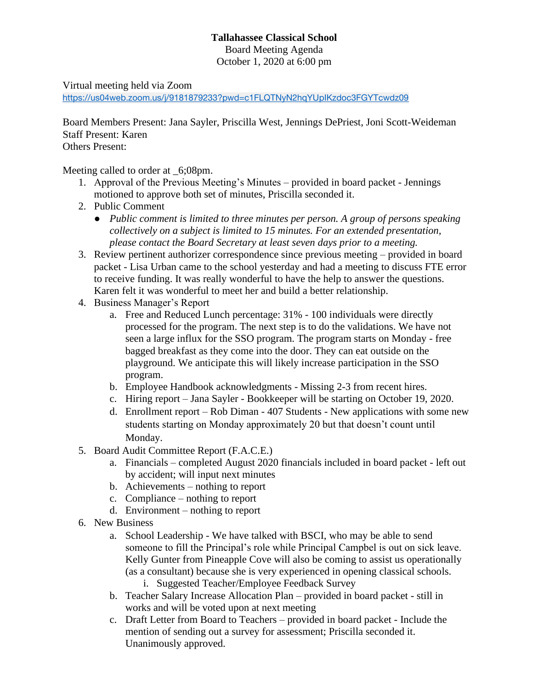## **Tallahassee Classical School**

Board Meeting Agenda

October 1, 2020 at 6:00 pm

Virtual meeting held via Zoom

<https://us04web.zoom.us/j/9181879233?pwd=c1FLQTNyN2hqYUpIKzdoc3FGYTcwdz09>

Board Members Present: Jana Sayler, Priscilla West, Jennings DePriest, Joni Scott-Weideman Staff Present: Karen Others Present:

Meeting called to order at \_6;08pm.

- 1. Approval of the Previous Meeting's Minutes provided in board packet Jennings motioned to approve both set of minutes, Priscilla seconded it.
- 2. Public Comment
	- *Public comment is limited to three minutes per person. A group of persons speaking collectively on a subject is limited to 15 minutes. For an extended presentation, please contact the Board Secretary at least seven days prior to a meeting.*
- 3. Review pertinent authorizer correspondence since previous meeting provided in board packet - Lisa Urban came to the school yesterday and had a meeting to discuss FTE error to receive funding. It was really wonderful to have the help to answer the questions. Karen felt it was wonderful to meet her and build a better relationship.
- 4. Business Manager's Report
	- a. Free and Reduced Lunch percentage: 31% 100 individuals were directly processed for the program. The next step is to do the validations. We have not seen a large influx for the SSO program. The program starts on Monday - free bagged breakfast as they come into the door. They can eat outside on the playground. We anticipate this will likely increase participation in the SSO program.
	- b. Employee Handbook acknowledgments Missing 2-3 from recent hires.
	- c. Hiring report Jana Sayler Bookkeeper will be starting on October 19, 2020.
	- d. Enrollment report Rob Diman 407 Students New applications with some new students starting on Monday approximately 20 but that doesn't count until Monday.
- 5. Board Audit Committee Report (F.A.C.E.)
	- a. Financials completed August 2020 financials included in board packet left out by accident; will input next minutes
	- b. Achievements nothing to report
	- c. Compliance nothing to report
	- d. Environment nothing to report
- 6. New Business
	- a. School Leadership We have talked with BSCI, who may be able to send someone to fill the Principal's role while Principal Campbel is out on sick leave. Kelly Gunter from Pineapple Cove will also be coming to assist us operationally (as a consultant) because she is very experienced in opening classical schools.
		- i. Suggested Teacher/Employee Feedback Survey
	- b. Teacher Salary Increase Allocation Plan provided in board packet still in works and will be voted upon at next meeting
	- c. Draft Letter from Board to Teachers provided in board packet Include the mention of sending out a survey for assessment; Priscilla seconded it. Unanimously approved.